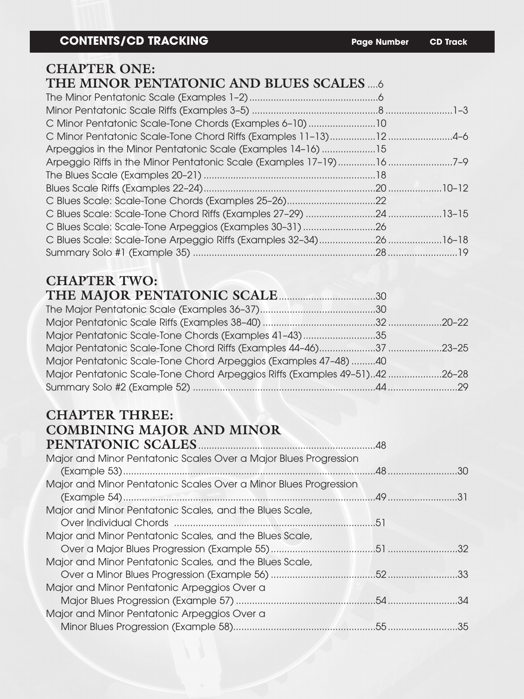#### **CHAPTER ONE:**

## **THE MINOR PENTATONIC AND BLUES SCALES** ....6

| C Minor Pentatonic Scale-Tone Chords (Examples 6-10) 10     |  |
|-------------------------------------------------------------|--|
|                                                             |  |
| Arpeggios in the Minor Pentatonic Scale (Examples 14-16) 15 |  |
|                                                             |  |
|                                                             |  |
|                                                             |  |
|                                                             |  |
|                                                             |  |
|                                                             |  |
|                                                             |  |
|                                                             |  |

### **CHAPTER TWO:**

| THE MAJOR PENTATONIC SCALE 20130                                           |  |
|----------------------------------------------------------------------------|--|
|                                                                            |  |
|                                                                            |  |
| Major Pentatonic Scale-Tone Chords (Examples 41-43)35                      |  |
|                                                                            |  |
| Major Pentatonic Scale-Tone Chord Arpeggios (Examples 47-48) 40            |  |
| Major Pentatonic Scale-Tone Chord Arpeggios Riffs (Examples 49-51)42 26-28 |  |
|                                                                            |  |

#### **CHAPTER THREE: COMBINING MAJOR AND MINOR PENTATONIC SC**

| Major and Minor Pentatonic Scales Over a Major Blues Progression |  |
|------------------------------------------------------------------|--|
|                                                                  |  |
| Major and Minor Pentatonic Scales Over a Minor Blues Progression |  |
|                                                                  |  |
| Major and Minor Pentatonic Scales, and the Blues Scale,          |  |
|                                                                  |  |
| Major and Minor Pentatonic Scales, and the Blues Scale,          |  |
|                                                                  |  |
| Major and Minor Pentatonic Scales, and the Blues Scale,          |  |
|                                                                  |  |
| Major and Minor Pentatonic Arpeggios Over a                      |  |
|                                                                  |  |
| Major and Minor Pentatonic Arpeggios Over a                      |  |
|                                                                  |  |
|                                                                  |  |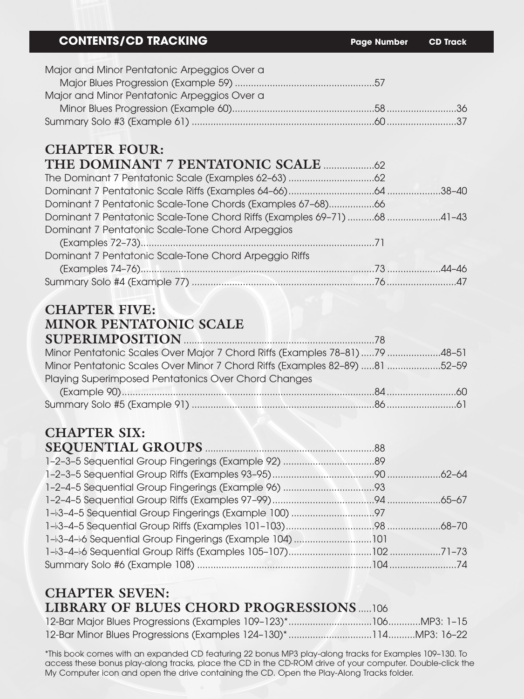#### **CONTENTS/CD TRACKING Page Number CD Track**

| Major and Minor Pentatonic Arpeggios Over a |  |
|---------------------------------------------|--|
|                                             |  |
| Major and Minor Pentatonic Arpeggios Over a |  |
|                                             |  |
|                                             |  |

## **CHAPTER FOUR:**

| Dominant 7 Pentatonic Scale-Tone Chords (Examples 67-68)66             |  |
|------------------------------------------------------------------------|--|
| Dominant 7 Pentatonic Scale-Tone Chord Riffs (Examples 69-71) 68 41-43 |  |
| Dominant 7 Pentatonic Scale-Tone Chord Arpeggios                       |  |
|                                                                        |  |
| Dominant 7 Pentatonic Scale-Tone Chord Arpeggio Riffs                  |  |
|                                                                        |  |
|                                                                        |  |

### **CHAPTER FIVE: MINOR PENTATONIC SCALE**

| SUPERIMPOSITION 28                                                         |  |
|----------------------------------------------------------------------------|--|
| Minor Pentatonic Scales Over Major 7 Chord Riffs (Examples 78-81) 79 48-51 |  |
| Minor Pentatonic Scales Over Minor 7 Chord Riffs (Examples 82-89) 81 52-59 |  |
| Playing Superimposed Pentatonics Over Chord Changes                        |  |
|                                                                            |  |
|                                                                            |  |

#### **CHAPTER SIX: SEQUENTIAL GROUPS** ...............................................................88

| 1-3-4-56 Sequential Group Fingerings (Example 104) 101 |  |
|--------------------------------------------------------|--|
|                                                        |  |
|                                                        |  |
|                                                        |  |

### **CHAPTER SEVEN: LIBRARY OF BLUES CHORD PROGRESSIONS** .....106

\*This book comes with an expanded CD featuring 22 bonus MP3 play-along tracks for Examples 109–130. To access these bonus play-along tracks, place the CD in the CD-ROM drive of your computer. Double-click the My Computer icon and open the drive containing the CD. Open the Play-Along Tracks folder.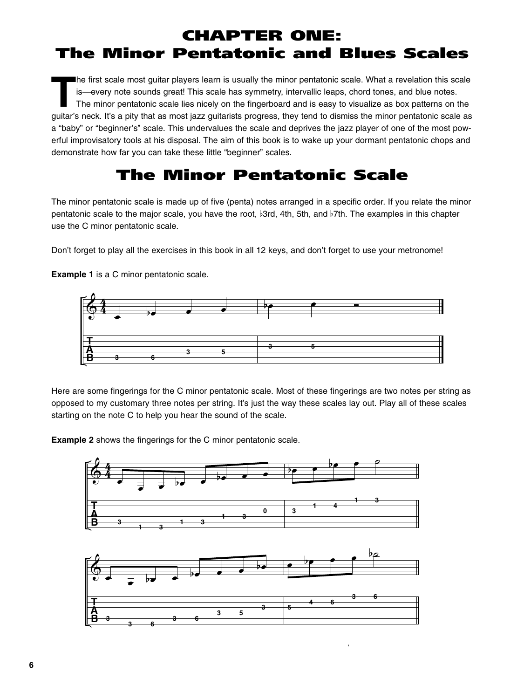# CHAPTER ONE: The Minor Pentatonic and Blues Scales

The first scale most guitar players learn is usually the minor pentatonic scale. What a revelation this scale<br>Is—every note sounds great! This scale has symmetry, intervallic leaps, chord tones, and blue notes.<br>The minor p is—every note sounds great! This scale has symmetry, intervallic leaps, chord tones, and blue notes. guitar's neck. It's a pity that as most jazz guitarists progress, they tend to dismiss the minor pentatonic scale as a "baby" or "beginner's" scale. This undervalues the scale and deprives the jazz player of one of the most powerful improvisatory tools at his disposal. The aim of this book is to wake up your dormant pentatonic chops and demonstrate how far you can take these little "beginner" scales.

### The Minor Pentatonic Scale

The minor pentatonic scale is made up of five (penta) notes arranged in a specific order. If you relate the minor pentatonic scale to the major scale, you have the root, b3rd, 4th, 5th, and b7th. The examples in this chapter use the C minor pentatonic scale.

Don't forget to play all the exercises in this book in all 12 keys, and don't forget to use your metronome!

**Example 1** is a C minor pentatonic scale.



Here are some fingerings for the C minor pentatonic scale. Most of these fingerings are two notes per string as opposed to my customary three notes per string. It's just the way these scales lay out. Play all of these scales starting on the note C to help you hear the sound of the scale.

**Example 2** shows the fingerings for the C minor pentatonic scale.